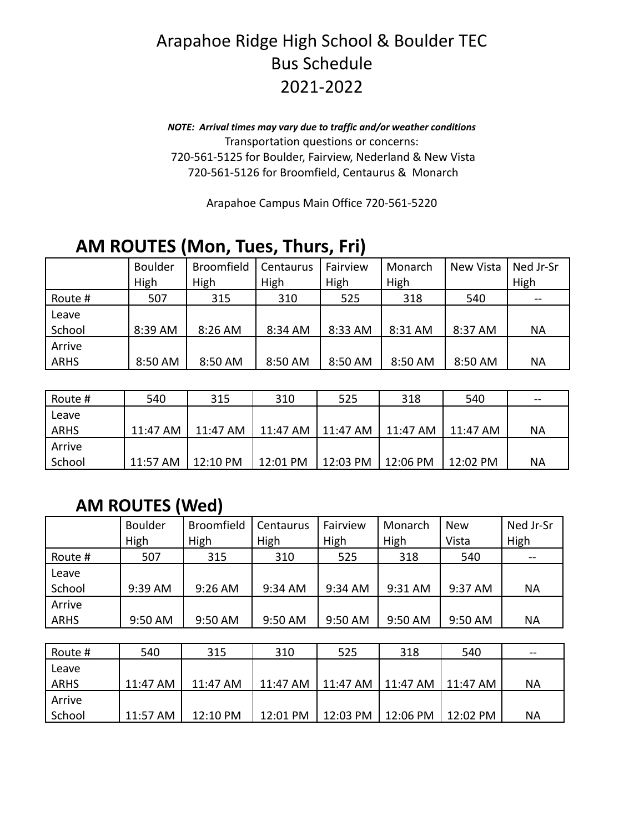## Arapahoe Ridge High School & Boulder TEC Bus Schedule 2021-2022

*NOTE: Arrival times may vary due to traffic and/or weather conditions* Transportation questions or concerns: 720-561-5125 for Boulder, Fairview, Nederland & New Vista 720-561-5126 for Broomfield, Centaurus & Monarch

Arapahoe Campus Main Office 720-561-5220

### **AM ROUTES (Mon, Tues, Thurs, Fri)**

|             | <b>Boulder</b><br>High | <b>Broomfield</b><br>High | Centaurus<br>High | Fairview<br>High | Monarch<br>High | New Vista | Ned Jr-Sr<br>High |
|-------------|------------------------|---------------------------|-------------------|------------------|-----------------|-----------|-------------------|
| Route #     | 507                    | 315                       | 310               | 525              | 318             | 540       |                   |
| Leave       |                        |                           |                   |                  |                 |           |                   |
| School      | 8:39 AM                | 8:26 AM                   | 8:34 AM           | 8:33 AM          | 8:31 AM         | 8:37 AM   | ΝA                |
| Arrive      |                        |                           |                   |                  |                 |           |                   |
| <b>ARHS</b> | 8:50 AM                | 8:50 AM                   | 8:50 AM           | 8:50 AM          | 8:50 AM         | 8:50 AM   | <b>NA</b>         |

| Route #     | 540      | 315      | 310      | 525      | 318         | 540      | $- -$ |
|-------------|----------|----------|----------|----------|-------------|----------|-------|
| Leave       |          |          |          |          |             |          |       |
| <b>ARHS</b> | 11:47 AM | 11:47 AM | 11:47 AM | 11:47 AM | 11:47 AM    | 11:47 AM | NА    |
| Arrive      |          |          |          |          |             |          |       |
| School      | 11:57 AM | 12:10 PM | 12:01 PM | 12:03 PM | $ 12:06$ PM | 12:02 PM | NА    |

#### **AM ROUTES (Wed)**

|             | <b>Boulder</b> | Broomfield | Centaurus | Fairview | Monarch | <b>New</b> | Ned Jr-Sr |
|-------------|----------------|------------|-----------|----------|---------|------------|-----------|
|             | High           | High       | High      | High     | High    | Vista      | High      |
| Route #     | 507            | 315        | 310       | 525      | 318     | 540        |           |
| Leave       |                |            |           |          |         |            |           |
| School      | 9:39 AM        | 9:26 AM    | 9:34 AM   | 9:34 AM  | 9:31 AM | 9:37 AM    | <b>NA</b> |
| Arrive      |                |            |           |          |         |            |           |
| <b>ARHS</b> | 9:50 AM        | 9:50 AM    | 9:50 AM   | 9:50 AM  | 9:50 AM | 9:50 AM    | <b>NA</b> |
|             |                |            |           |          |         |            |           |

| Route # | 540      | 315      | 310      | 525                 | 318                 | 540      | $- -$ |
|---------|----------|----------|----------|---------------------|---------------------|----------|-------|
| Leave   |          |          |          |                     |                     |          |       |
| ARHS    | 11:47 AM | 11:47 AM | 11:47 AM | 11:47 AM            | 11:47 AM   11:47 AM |          | ΝA    |
| Arrive  |          |          |          |                     |                     |          |       |
| School  | 11:57 AM | 12:10 PM | 12:01 PM | 12:03 PM   12:06 PM |                     | 12:02 PM | ΝA    |